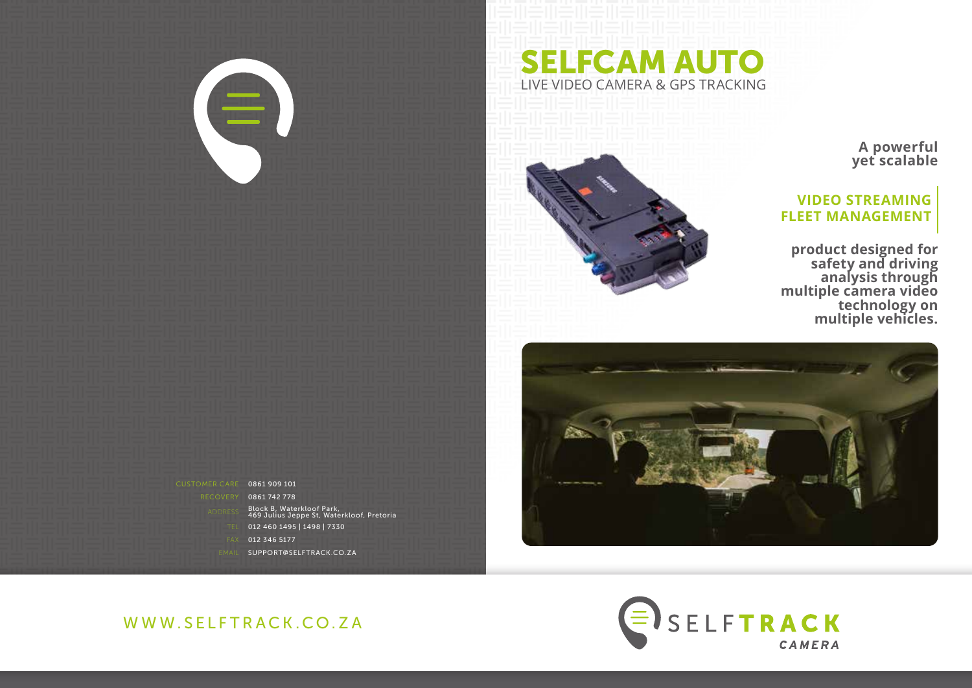



**A powerful yet scalable**

## **VIDEO STREAMING FLEET MANAGEMENT**

**product designed for safety and driving analysis through multiple camera video technology on multiple vehicles.** 





WWW.SELFTRACK.CO.ZA